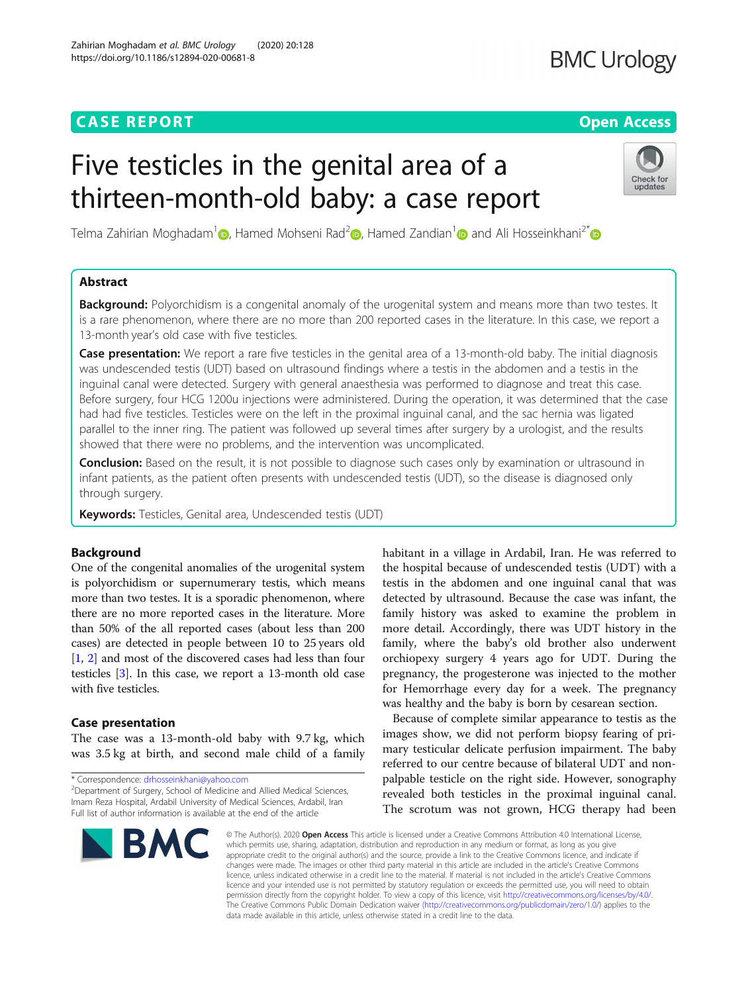# **CASE REPORT CASE REPORT CASE REPORT**

# Five testicles in the genital area of a thirteen-month-old baby: a case report

Telma Zahirian Moghadam<sup>1</sup> [,](https://orcid.org/0000-0002-3605-1489) Hamed Mohseni Rad<sup>2</sup> , Hamed Zandian<sup>1</sup> and Ali Hosseinkhani<sup>2\*</sup> and Ali Hosseinkhani<sup>2\*</sup>

# Abstract

**Background:** Polyorchidism is a congenital anomaly of the urogenital system and means more than two testes. It is a rare phenomenon, where there are no more than 200 reported cases in the literature. In this case, we report a 13-month year's old case with five testicles.

Case presentation: We report a rare five testicles in the genital area of a 13-month-old baby. The initial diagnosis was undescended testis (UDT) based on ultrasound findings where a testis in the abdomen and a testis in the inguinal canal were detected. Surgery with general anaesthesia was performed to diagnose and treat this case. Before surgery, four HCG 1200u injections were administered. During the operation, it was determined that the case had had five testicles. Testicles were on the left in the proximal inguinal canal, and the sac hernia was ligated parallel to the inner ring. The patient was followed up several times after surgery by a urologist, and the results showed that there were no problems, and the intervention was uncomplicated.

**Conclusion:** Based on the result, it is not possible to diagnose such cases only by examination or ultrasound in infant patients, as the patient often presents with undescended testis (UDT), so the disease is diagnosed only through surgery.

Keywords: Testicles, Genital area, Undescended testis (UDT)

## Background

One of the congenital anomalies of the urogenital system is polyorchidism or supernumerary testis, which means more than two testes. It is a sporadic phenomenon, where there are no more reported cases in the literature. More than 50% of the all reported cases (about less than 200 cases) are detected in people between 10 to 25 years old [[1,](#page-2-0) [2\]](#page-2-0) and most of the discovered cases had less than four testicles [\[3\]](#page-2-0). In this case, we report a 13-month old case with five testicles.

### Case presentation

was 3.5 kg at birth, and second male child of a family

\* Correspondence: [drhosseinkhani@yahoo.com](mailto:drhosseinkhani@yahoo.com) <sup>2</sup>

Zahirian Moghadam et al. BMC Urology (2020) 20:128

https://doi.org/10.1186/s12894-020-00681-8

© The Author(s), 2020 **Open Access** This article is licensed under a Creative Commons Attribution 4.0 International License, which permits use, sharing, adaptation, distribution and reproduction in any medium or format, as long as you give appropriate credit to the original author(s) and the source, provide a link to the Creative Commons licence, and indicate if changes were made. The images or other third party material in this article are included in the article's Creative Commons licence, unless indicated otherwise in a credit line to the material. If material is not included in the article's Creative Commons licence and your intended use is not permitted by statutory regulation or exceeds the permitted use, you will need to obtain permission directly from the copyright holder. To view a copy of this licence, visit [http://creativecommons.org/licenses/by/4.0/.](http://creativecommons.org/licenses/by/4.0/) The Creative Commons Public Domain Dedication waiver [\(http://creativecommons.org/publicdomain/zero/1.0/](http://creativecommons.org/publicdomain/zero/1.0/)) applies to the

data made available in this article, unless otherwise stated in a credit line to the data.

habitant in a village in Ardabil, Iran. He was referred to the hospital because of undescended testis (UDT) with a testis in the abdomen and one inguinal canal that was detected by ultrasound. Because the case was infant, the family history was asked to examine the problem in more detail. Accordingly, there was UDT history in the family, where the baby's old brother also underwent orchiopexy surgery 4 years ago for UDT. During the pregnancy, the progesterone was injected to the mother for Hemorrhage every day for a week. The pregnancy was healthy and the baby is born by cesarean section.

Because of complete similar appearance to testis as the images show, we did not perform biopsy fearing of primary testicular delicate perfusion impairment. The baby referred to our centre because of bilateral UDT and nonpalpable testicle on the right side. However, sonography revealed both testicles in the proximal inguinal canal. The scrotum was not grown, HCG therapy had been

The case was a 13-month-old baby with 9.7 kg, which





# **BMC Urology**

<sup>&</sup>lt;sup>2</sup>Department of Surgery, School of Medicine and Allied Medical Sciences, Imam Reza Hospital, Ardabil University of Medical Sciences, Ardabil, Iran Full list of author information is available at the end of the article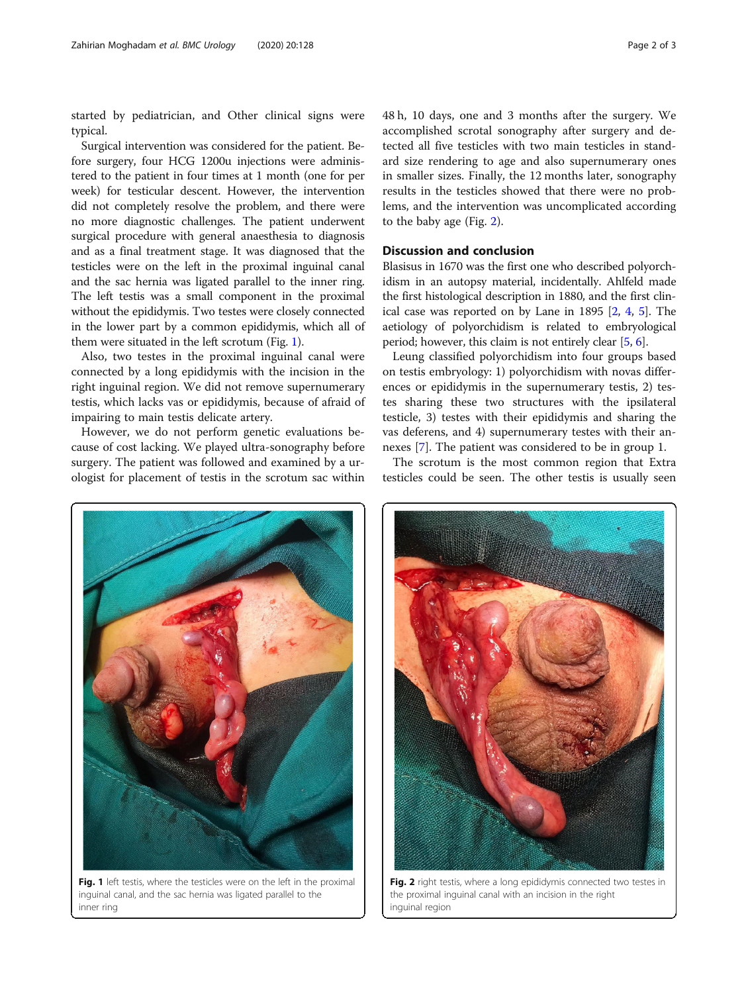started by pediatrician, and Other clinical signs were typical.

Surgical intervention was considered for the patient. Before surgery, four HCG 1200u injections were administered to the patient in four times at 1 month (one for per week) for testicular descent. However, the intervention did not completely resolve the problem, and there were no more diagnostic challenges. The patient underwent surgical procedure with general anaesthesia to diagnosis and as a final treatment stage. It was diagnosed that the testicles were on the left in the proximal inguinal canal and the sac hernia was ligated parallel to the inner ring. The left testis was a small component in the proximal without the epididymis. Two testes were closely connected in the lower part by a common epididymis, which all of them were situated in the left scrotum (Fig. 1).

Also, two testes in the proximal inguinal canal were connected by a long epididymis with the incision in the right inguinal region. We did not remove supernumerary testis, which lacks vas or epididymis, because of afraid of impairing to main testis delicate artery.

However, we do not perform genetic evaluations because of cost lacking. We played ultra-sonography before surgery. The patient was followed and examined by a urologist for placement of testis in the scrotum sac within

48 h, 10 days, one and 3 months after the surgery. We accomplished scrotal sonography after surgery and detected all five testicles with two main testicles in standard size rendering to age and also supernumerary ones in smaller sizes. Finally, the 12 months later, sonography results in the testicles showed that there were no problems, and the intervention was uncomplicated according to the baby age (Fig. 2).

### Discussion and conclusion

Blasisus in 1670 was the first one who described polyorchidism in an autopsy material, incidentally. Ahlfeld made the first histological description in 1880, and the first clinical case was reported on by Lane in 1895 [\[2](#page-2-0), [4,](#page-2-0) [5\]](#page-2-0). The aetiology of polyorchidism is related to embryological period; however, this claim is not entirely clear [[5,](#page-2-0) [6](#page-2-0)].

Leung classified polyorchidism into four groups based on testis embryology: 1) polyorchidism with novas differences or epididymis in the supernumerary testis, 2) testes sharing these two structures with the ipsilateral testicle, 3) testes with their epididymis and sharing the vas deferens, and 4) supernumerary testes with their annexes [[7\]](#page-2-0). The patient was considered to be in group 1.

The scrotum is the most common region that Extra testicles could be seen. The other testis is usually seen



inguinal canal, and the sac hernia was ligated parallel to the inner ring



Fig. 2 right testis, where a long epididymis connected two testes in the proximal inguinal canal with an incision in the right inguinal region